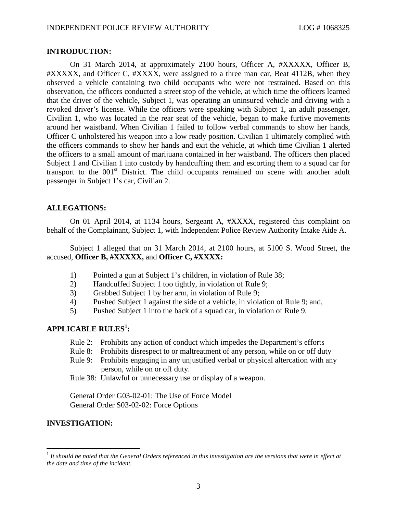#### **INTRODUCTION:**

On 31 March 2014, at approximately 2100 hours, Officer A, #XXXXX, Officer B, #XXXXX, and Officer C, #XXXX, were assigned to a three man car, Beat 4112B, when they observed a vehicle containing two child occupants who were not restrained. Based on this observation, the officers conducted a street stop of the vehicle, at which time the officers learned that the driver of the vehicle, Subject 1, was operating an uninsured vehicle and driving with a revoked driver's license. While the officers were speaking with Subject 1, an adult passenger, Civilian 1, who was located in the rear seat of the vehicle, began to make furtive movements around her waistband. When Civilian 1 failed to follow verbal commands to show her hands, Officer C unholstered his weapon into a low ready position. Civilian 1 ultimately complied with the officers commands to show her hands and exit the vehicle, at which time Civilian 1 alerted the officers to a small amount of marijuana contained in her waistband. The officers then placed Subject 1 and Civilian 1 into custody by handcuffing them and escorting them to a squad car for transport to the  $001<sup>st</sup>$  District. The child occupants remained on scene with another adult passenger in Subject 1's car, Civilian 2.

#### **ALLEGATIONS:**

On 01 April 2014, at 1134 hours, Sergeant A, #XXXX, registered this complaint on behalf of the Complainant, Subject 1, with Independent Police Review Authority Intake Aide A.

Subject 1 alleged that on 31 March 2014, at 2100 hours, at 5100 S. Wood Street, the accused, **Officer B, #XXXXX,** and **Officer C, #XXXX:**

- 1) Pointed a gun at Subject 1's children, in violation of Rule 38;
- 2) Handcuffed Subject 1 too tightly, in violation of Rule 9;
- 3) Grabbed Subject 1 by her arm, in violation of Rule 9;
- 4) Pushed Subject 1 against the side of a vehicle, in violation of Rule 9; and,
- 5) Pushed Subject 1 into the back of a squad car, in violation of Rule 9.

# **APPLICABLE RULES<sup>1</sup> [:](#page-0-0)**

- Rule 2: Prohibits any action of conduct which impedes the Department's efforts
- Rule 8: Prohibits disrespect to or maltreatment of any person, while on or off duty
- Rule 9: Prohibits engaging in any unjustified verbal or physical altercation with any person, while on or off duty.
- Rule 38: Unlawful or unnecessary use or display of a weapon.

General Order G03-02-01: The Use of Force Model General Order S03-02-02: Force Options

## **INVESTIGATION:**

<span id="page-0-0"></span><sup>&</sup>lt;sup>1</sup> It should be noted that the General Orders referenced in this investigation are the versions that were in effect at *the date and time of the incident.*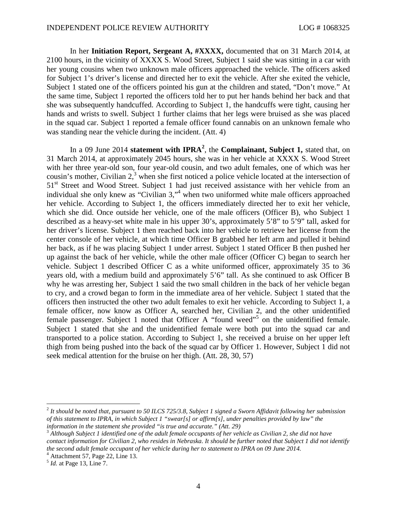In her **Initiation Report, Sergeant A, #XXXX,** documented that on 31 March 2014, at 2100 hours, in the vicinity of XXXX S. Wood Street, Subject 1 said she was sitting in a car with her young cousins when two unknown male officers approached the vehicle. The officers asked for Subject 1's driver's license and directed her to exit the vehicle. After she exited the vehicle, Subject 1 stated one of the officers pointed his gun at the children and stated, "Don't move." At the same time, Subject 1 reported the officers told her to put her hands behind her back and that she was subsequently handcuffed. According to Subject 1, the handcuffs were tight, causing her hands and wrists to swell. Subject 1 further claims that her legs were bruised as she was placed in the squad car. Subject 1 reported a female officer found cannabis on an unknown female who was standing near the vehicle during the incident. (Att. 4)

In a 09 June 2014 **statement with IPRA<sup>2</sup>** [,](#page-1-0) the **Complainant, Subject 1,** stated that, on 31 March 2014, at approximately 2045 hours, she was in her vehicle at XXXX S. Wood Street with her three year-old son, four year-old cousin, and two adult females, one of which was her cousin'smother[,](#page-1-1) Civilian  $2<sup>3</sup>$  when she first noticed a police vehicle located at the intersection of 51<sup>st</sup> Street and Wood Street. Subject 1 had just received assistance with her vehicle from an individual she only knew as "Civilian3,["](#page-1-2)<sup>4</sup> when two uniformed white male officers approached her vehicle. According to Subject 1, the officers immediately directed her to exit her vehicle, which she did. Once outside her vehicle, one of the male officers (Officer B), who Subject 1 described as a heavy-set white male in his upper 30's, approximately 5'8" to 5'9" tall, asked for her driver's license. Subject 1 then reached back into her vehicle to retrieve her license from the center console of her vehicle, at which time Officer B grabbed her left arm and pulled it behind her back, as if he was placing Subject 1 under arrest. Subject 1 stated Officer B then pushed her up against the back of her vehicle, while the other male officer (Officer C) began to search her vehicle. Subject 1 described Officer C as a white uniformed officer, approximately 35 to 36 years old, with a medium build and approximately 5'6" tall. As she continued to ask Officer B why he was arresting her, Subject 1 said the two small children in the back of her vehicle began to cry, and a crowd began to form in the immediate area of her vehicle. Subject 1 stated that the officers then instructed the other two adult females to exit her vehicle. According to Subject 1, a female officer, now know as Officer A, searched her, Civilian 2, and the other unidentified female passenger. Subject 1 noted that Officer A "found weed"<sup>[5](#page-1-3)</sup> on the unidentified female. Subject 1 stated that she and the unidentified female were both put into the squad car and transported to a police station. According to Subject 1, she received a bruise on her upper left thigh from being pushed into the back of the squad car by Officer 1. However, Subject 1 did not seek medical attention for the bruise on her thigh. (Att. 28, 30, 57)

<span id="page-1-0"></span><sup>2</sup> *It should be noted that, pursuant to 50 ILCS 725/3.8, Subject 1 signed a Sworn Affidavit following her submission of this statement to IPRA, in which Subject 1 "swear[s] or affirm[s], under penalties provided by law" the information in the statement she provided "is true and accurate." (Att. 29)*

<span id="page-1-1"></span><sup>3</sup> *Although Subject 1 identified one of the adult female occupants of her vehicle as Civilian 2, she did not have contact information for Civilian 2, who resides in Nebraska. It should be further noted that Subject 1 did not identify the second adult female occupant of her vehicle during her to statement to IPRA on 09 June 2014.*

<span id="page-1-2"></span> $<sup>4</sup>$  Attachment 57, Page 22, Line 13.</sup>

<span id="page-1-3"></span><sup>5</sup> *Id.* at Page 13, Line 7.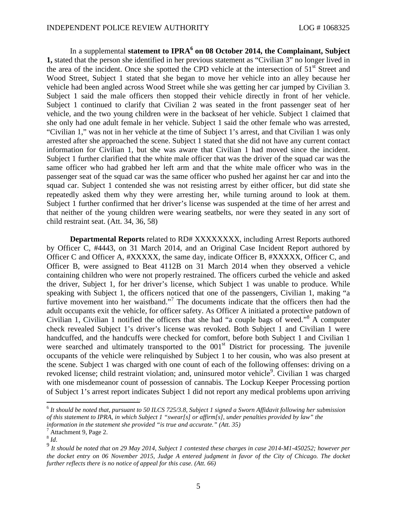In a supplemental **statement to IPRA[6](#page-2-0) on 08 October 2014, the Complainant, Subject 1,** stated that the person she identified in her previous statement as "Civilian 3" no longer lived in the area of the incident. Once she spotted the CPD vehicle at the intersection of 51<sup>st</sup> Street and Wood Street, Subject 1 stated that she began to move her vehicle into an alley because her vehicle had been angled across Wood Street while she was getting her car jumped by Civilian 3. Subject 1 said the male officers then stopped their vehicle directly in front of her vehicle. Subject 1 continued to clarify that Civilian 2 was seated in the front passenger seat of her vehicle, and the two young children were in the backseat of her vehicle. Subject 1 claimed that she only had one adult female in her vehicle. Subject 1 said the other female who was arrested, "Civilian 1," was not in her vehicle at the time of Subject 1's arrest, and that Civilian 1 was only arrested after she approached the scene. Subject 1 stated that she did not have any current contact information for Civilian 1, but she was aware that Civilian 1 had moved since the incident. Subject 1 further clarified that the white male officer that was the driver of the squad car was the same officer who had grabbed her left arm and that the white male officer who was in the passenger seat of the squad car was the same officer who pushed her against her car and into the squad car. Subject 1 contended she was not resisting arrest by either officer, but did state she repeatedly asked them why they were arresting her, while turning around to look at them. Subject 1 further confirmed that her driver's license was suspended at the time of her arrest and that neither of the young children were wearing seatbelts, nor were they seated in any sort of child restraint seat. (Att. 34, 36, 58)

**Departmental Reports** related to RD# XXXXXXXX, including Arrest Reports authored by Officer C, #4443, on 31 March 2014, and an Original Case Incident Report authored by Officer C and Officer A, #XXXXX, the same day, indicate Officer B, #XXXXX, Officer C, and Officer B, were assigned to Beat 4112B on 31 March 2014 when they observed a vehicle containing children who were not properly restrained. The officers curbed the vehicle and asked the driver, Subject 1, for her driver's license, which Subject 1 was unable to produce. While speaking with Subject 1, the officers noticed that one of the passengers, Civilian 1, making "a furtive movement into her waistband."<sup>[7](#page-2-1)</sup> The documents indicate that the officers then had the adult occupants exit the vehicle, for officer safety. As Officer A initiated a protective patdown of Civilian 1, Civilian 1 notified the officers that she had "a couple bags of weed."[8](#page-2-2) A computer check revealed Subject 1's driver's license was revoked. Both Subject 1 and Civilian 1 were handcuffed, and the handcuffs were checked for comfort, before both Subject 1 and Civilian 1 were searched and ultimately transported to the  $001<sup>st</sup>$  District for processing. The juvenile occupants of the vehicle were relinquished by Subject 1 to her cousin, who was also present at the scene. Subject 1 was charged with one count of each of the following offenses: driving on a revoked license; child restraint violation; and, uninsured motor vehicle<sup>9</sup>[.](#page-2-3) Civilian 1 was charged with one misdemeanor count of possession of cannabis. The Lockup Keeper Processing portion of Subject 1's arrest report indicates Subject 1 did not report any medical problems upon arriving

<span id="page-2-0"></span><sup>6</sup> *It should be noted that, pursuant to 50 ILCS 725/3.8, Subject 1 signed a Sworn Affidavit following her submission of this statement to IPRA, in which Subject 1 "swear[s] or affirm[s], under penalties provided by law" the information in the statement she provided "is true and accurate." (Att. 35)*

<span id="page-2-2"></span><span id="page-2-1"></span> $^7$  Attachment 9, Page 2.

<span id="page-2-3"></span><sup>8</sup> *Id*.

<sup>9</sup> *It should be noted that on 29 May 2014, Subject 1 contested these charges in case 2014-M1-450252; however per the docket entry on 06 November 2015, Judge A entered judgment in favor of the City of Chicago. The docket further reflects there is no notice of appeal for this case. (Att. 66)*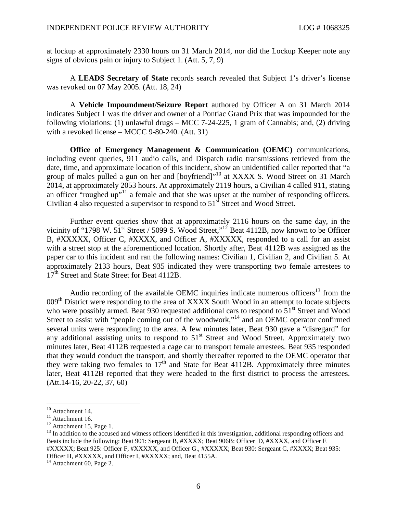at lockup at approximately 2330 hours on 31 March 2014, nor did the Lockup Keeper note any signs of obvious pain or injury to Subject 1. (Att. 5, 7, 9)

A **LEADS Secretary of State** records search revealed that Subject 1's driver's license was revoked on 07 May 2005. (Att. 18, 24)

A **Vehicle Impoundment/Seizure Report** authored by Officer A on 31 March 2014 indicates Subject 1 was the driver and owner of a Pontiac Grand Prix that was impounded for the following violations: (1) unlawful drugs – MCC 7-24-225, 1 gram of Cannabis; and, (2) driving with a revoked license – MCCC 9-80-240. (Att. 31)

**Office of Emergency Management & Communication (OEMC)** communications, including event queries, 911 audio calls, and Dispatch radio transmissions retrieved from the date, time, and approximate location of this incident, show an unidentified caller reported that "a group of males pulled a gun on her and [boyfriend]"<sup>[10](#page-3-0)</sup> at XXXX S. Wood Street on 31 March 2014, at approximately 2053 hours. At approximately 2119 hours, a Civilian 4 called 911, stating anofficer "roughed up"<sup>11</sup> a female and that she was upset at the number of responding officers. Civilian 4 also requested a supervisor to respond to  $51<sup>st</sup>$  Street and Wood Street.

Further event queries show that at approximately 2116 hours on the same day, in the vicinity of "1798 W.  $51^{\text{st}}$  Street / 5099 S. Wood Street,"<sup>[12](#page-3-2)</sup> Beat 4112B, now known to be Officer B, #XXXXX, Officer C, #XXXX, and Officer A, #XXXXX, responded to a call for an assist with a street stop at the aforementioned location. Shortly after, Beat 4112B was assigned as the paper car to this incident and ran the following names: Civilian 1, Civilian 2, and Civilian 5. At approximately 2133 hours, Beat 935 indicated they were transporting two female arrestees to 17<sup>th</sup> Street and State Street for Beat 4112B.

Audio recording of the available OEMC inquiries indicate numerous officers<sup>[13](#page-3-3)</sup> from the 009<sup>th</sup> District were responding to the area of XXXX South Wood in an attempt to locate subjects who were possibly armed. Beat 930 requested additional cars to respond to  $51<sup>st</sup>$  Street and Wood Street to assist with "people coming out of the woodwork,"<sup>[14](#page-3-4)</sup> and an OEMC operator confirmed several units were responding to the area. A few minutes later, Beat 930 gave a "disregard" for any additional assisting units to respond to  $51<sup>st</sup>$  Street and Wood Street. Approximately two minutes later, Beat 4112B requested a cage car to transport female arrestees. Beat 935 responded that they would conduct the transport, and shortly thereafter reported to the OEMC operator that they were taking two females to  $17<sup>th</sup>$  and State for Beat 4112B. Approximately three minutes later, Beat 4112B reported that they were headed to the first district to process the arrestees. (Att.14-16, 20-22, 37, 60)

<span id="page-3-0"></span><sup>&</sup>lt;sup>10</sup> Attachment 14.

<span id="page-3-1"></span> $11$  Attachment 16.

<span id="page-3-3"></span><span id="page-3-2"></span> $12$  Attachment 15, Page 1.

 $<sup>13</sup>$  In addition to the accused and witness officers identified in this investigation, additional responding officers and</sup> Beats include the following: Beat 901: Sergeant B, #XXXX; Beat 906B: Officer D, #XXXX, and Officer E #XXXXX; Beat 925: Officer F, #XXXXX, and Officer G., #XXXXX; Beat 930: Sergeant C, #XXXX; Beat 935: Officer H, #XXXXX, and Officer I, #XXXXX; and, Beat 4155A.

<span id="page-3-4"></span> $14$  Attachment 60, Page 2.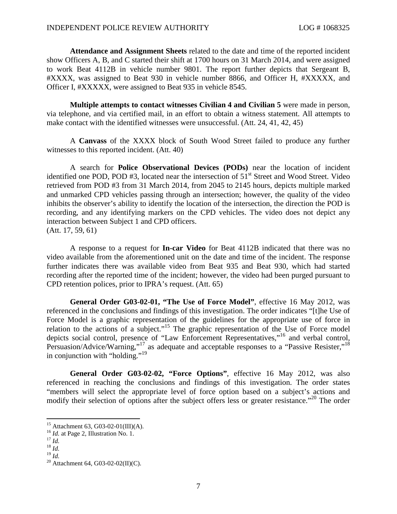**Attendance and Assignment Sheets** related to the date and time of the reported incident show Officers A, B, and C started their shift at 1700 hours on 31 March 2014, and were assigned to work Beat 4112B in vehicle number 9801. The report further depicts that Sergeant B, #XXXX, was assigned to Beat 930 in vehicle number 8866, and Officer H, #XXXXX, and Officer I, #XXXXX, were assigned to Beat 935 in vehicle 8545.

**Multiple attempts to contact witnesses Civilian 4 and Civilian 5** were made in person, via telephone, and via certified mail, in an effort to obtain a witness statement. All attempts to make contact with the identified witnesses were unsuccessful. (Att. 24, 41, 42, 45)

A **Canvass** of the XXXX block of South Wood Street failed to produce any further witnesses to this reported incident. (Att. 40)

A search for **Police Observational Devices (PODs)** near the location of incident identified one POD, POD  $#3$ , located near the intersection of  $51<sup>st</sup>$  Street and Wood Street. Video retrieved from POD #3 from 31 March 2014, from 2045 to 2145 hours, depicts multiple marked and unmarked CPD vehicles passing through an intersection; however, the quality of the video inhibits the observer's ability to identify the location of the intersection, the direction the POD is recording, and any identifying markers on the CPD vehicles. The video does not depict any interaction between Subject 1 and CPD officers. (Att. 17, 59, 61)

A response to a request for **In-car Video** for Beat 4112B indicated that there was no video available from the aforementioned unit on the date and time of the incident. The response further indicates there was available video from Beat 935 and Beat 930, which had started recording after the reported time of the incident; however, the video had been purged pursuant to CPD retention polices, prior to IPRA's request. (Att. 65)

**General Order G03-02-01, "The Use of Force Model"**, effective 16 May 2012, was referenced in the conclusions and findings of this investigation. The order indicates "[t]he Use of Force Model is a graphic representation of the guidelines for the appropriate use of force in relation to the actions of a subject."[15](#page-4-0) The graphic representation of the Use of Force model depicts social control, presence of "Law Enforcement Representatives,"[16](#page-4-1) and verbal control, Persuasion/Advice/Warning,"<sup>[17](#page-4-2)</sup> as adequate and acceptable responses to a "Passive Resister,"<sup>[18](#page-4-3)</sup> in conjunction with "holding."<sup>[19](#page-4-4)</sup>

**General Order G03-02-02, "Force Options"**, effective 16 May 2012, was also referenced in reaching the conclusions and findings of this investigation. The order states "members will select the appropriate level of force option based on a subject's actions and modify their selection of options after the subject offers less or greater resistance."<sup>[20](#page-4-5)</sup> The order

<span id="page-4-0"></span><sup>15</sup> Attachment 63, G03-02-01(III)(A).

<span id="page-4-1"></span><sup>&</sup>lt;sup>16</sup> *Id.* at Page 2, Illustration No. 1.

<span id="page-4-2"></span><sup>17</sup> *Id.*

<span id="page-4-3"></span> $^{18}$  *Id.* 

<span id="page-4-4"></span> $^{19}$  *Id.* 

<span id="page-4-5"></span><sup>&</sup>lt;sup>20</sup> Attachment 64, G03-02-02(II)(C).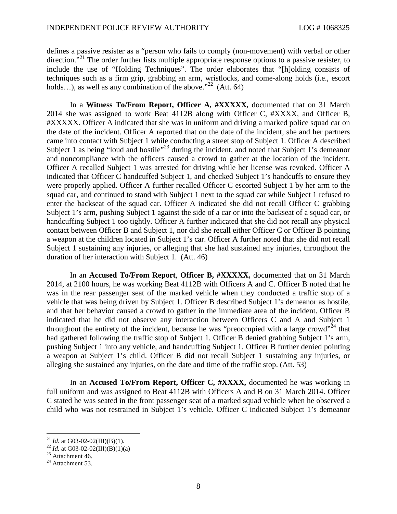defines a passive resister as a "person who fails to comply (non-movement) with verbal or other direction."<sup>[21](#page-5-0)</sup> The order further lists multiple appropriate response options to a passive resister, to include the use of "Holding Techniques". The order elaborates that "[h]olding consists of techniques such as a firm grip, grabbing an arm, wristlocks, and come-along holds (i.e., escort holds...), as well as any combination of the above."<sup>[22](#page-5-1)</sup> (Att. 64)

In a **Witness To/From Report, Officer A, #XXXXX,** documented that on 31 March 2014 she was assigned to work Beat 4112B along with Officer C, #XXXX, and Officer B, #XXXXX. Officer A indicated that she was in uniform and driving a marked police squad car on the date of the incident. Officer A reported that on the date of the incident, she and her partners came into contact with Subject 1 while conducting a street stop of Subject 1. Officer A described Subject 1 as being "loud and hostile"<sup>[23](#page-5-2)</sup> during the incident, and noted that Subject 1's demeanor and noncompliance with the officers caused a crowd to gather at the location of the incident. Officer A recalled Subject 1 was arrested for driving while her license was revoked. Officer A indicated that Officer C handcuffed Subject 1, and checked Subject 1's handcuffs to ensure they were properly applied. Officer A further recalled Officer C escorted Subject 1 by her arm to the squad car, and continued to stand with Subject 1 next to the squad car while Subject 1 refused to enter the backseat of the squad car. Officer A indicated she did not recall Officer C grabbing Subject 1's arm, pushing Subject 1 against the side of a car or into the backseat of a squad car, or handcuffing Subject 1 too tightly. Officer A further indicated that she did not recall any physical contact between Officer B and Subject 1, nor did she recall either Officer C or Officer B pointing a weapon at the children located in Subject 1's car. Officer A further noted that she did not recall Subject 1 sustaining any injuries, or alleging that she had sustained any injuries, throughout the duration of her interaction with Subject 1. (Att. 46)

In an **Accused To/From Report**, **Officer B, #XXXXX,** documented that on 31 March 2014, at 2100 hours, he was working Beat 4112B with Officers A and C. Officer B noted that he was in the rear passenger seat of the marked vehicle when they conducted a traffic stop of a vehicle that was being driven by Subject 1. Officer B described Subject 1's demeanor as hostile, and that her behavior caused a crowd to gather in the immediate area of the incident. Officer B indicated that he did not observe any interaction between Officers C and A and Subject 1 throughout the entirety of the incident, because he was "preoccupied with a large crowd"<sup>[24](#page-5-3)</sup> that had gathered following the traffic stop of Subject 1. Officer B denied grabbing Subject 1's arm, pushing Subject 1 into any vehicle, and handcuffing Subject 1. Officer B further denied pointing a weapon at Subject 1's child. Officer B did not recall Subject 1 sustaining any injuries, or alleging she sustained any injuries, on the date and time of the traffic stop. (Att. 53)

In an **Accused To/From Report, Officer C, #XXXX,** documented he was working in full uniform and was assigned to Beat 4112B with Officers A and B on 31 March 2014. Officer C stated he was seated in the front passenger seat of a marked squad vehicle when he observed a child who was not restrained in Subject 1's vehicle. Officer C indicated Subject 1's demeanor

<span id="page-5-0"></span><sup>&</sup>lt;sup>21</sup> *Id.* at G03-02-02(III)(B)(1).

<span id="page-5-2"></span><span id="page-5-1"></span><sup>&</sup>lt;sup>22</sup> *Id.* at G03-02-02(III)(B)(1)(a)

 $23$  Attachment 46.

<span id="page-5-3"></span> $24$  Attachment 53.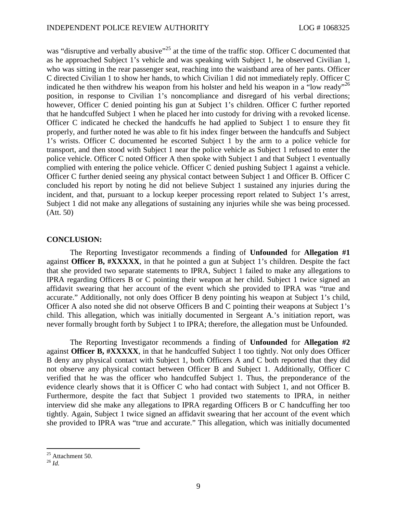was "disruptive and verbally abusive"<sup>[25](#page-6-0)</sup> at the time of the traffic stop. Officer C documented that as he approached Subject 1's vehicle and was speaking with Subject 1, he observed Civilian 1, who was sitting in the rear passenger seat, reaching into the waistband area of her pants. Officer C directed Civilian 1 to show her hands, to which Civilian 1 did not immediately reply. Officer C indicated he then withdrew his weapon from his holster and held his weapon in a "low ready"<sup>[26](#page-6-1)</sup> position, in response to Civilian 1's noncompliance and disregard of his verbal directions; however, Officer C denied pointing his gun at Subject 1's children. Officer C further reported that he handcuffed Subject 1 when he placed her into custody for driving with a revoked license. Officer C indicated he checked the handcuffs he had applied to Subject 1 to ensure they fit properly, and further noted he was able to fit his index finger between the handcuffs and Subject 1's wrists. Officer C documented he escorted Subject 1 by the arm to a police vehicle for transport, and then stood with Subject 1 near the police vehicle as Subject 1 refused to enter the police vehicle. Officer C noted Officer A then spoke with Subject 1 and that Subject 1 eventually complied with entering the police vehicle. Officer C denied pushing Subject 1 against a vehicle. Officer C further denied seeing any physical contact between Subject 1 and Officer B. Officer C concluded his report by noting he did not believe Subject 1 sustained any injuries during the incident, and that, pursuant to a lockup keeper processing report related to Subject 1's arrest, Subject 1 did not make any allegations of sustaining any injuries while she was being processed. (Att. 50)

### **CONCLUSION:**

The Reporting Investigator recommends a finding of **Unfounded** for **Allegation #1** against **Officer B, #XXXXX**, in that he pointed a gun at Subject 1's children. Despite the fact that she provided two separate statements to IPRA, Subject 1 failed to make any allegations to IPRA regarding Officers B or C pointing their weapon at her child. Subject 1 twice signed an affidavit swearing that her account of the event which she provided to IPRA was "true and accurate." Additionally, not only does Officer B deny pointing his weapon at Subject 1's child, Officer A also noted she did not observe Officers B and C pointing their weapons at Subject 1's child. This allegation, which was initially documented in Sergeant A.'s initiation report, was never formally brought forth by Subject 1 to IPRA; therefore, the allegation must be Unfounded.

The Reporting Investigator recommends a finding of **Unfounded** for **Allegation #2** against **Officer B, #XXXXX**, in that he handcuffed Subject 1 too tightly. Not only does Officer B deny any physical contact with Subject 1, both Officers A and C both reported that they did not observe any physical contact between Officer B and Subject 1. Additionally, Officer C verified that he was the officer who handcuffed Subject 1. Thus, the preponderance of the evidence clearly shows that it is Officer C who had contact with Subject 1, and not Officer B. Furthermore, despite the fact that Subject 1 provided two statements to IPRA, in neither interview did she make any allegations to IPRA regarding Officers B or C handcuffing her too tightly. Again, Subject 1 twice signed an affidavit swearing that her account of the event which she provided to IPRA was "true and accurate." This allegation, which was initially documented

<span id="page-6-0"></span> $25$  Attachment 50.

<span id="page-6-1"></span><sup>26</sup> *Id.*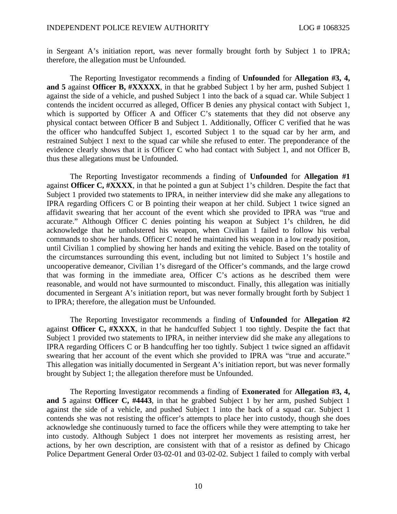in Sergeant A's initiation report, was never formally brought forth by Subject 1 to IPRA; therefore, the allegation must be Unfounded.

The Reporting Investigator recommends a finding of **Unfounded** for **Allegation #3, 4, and 5** against **Officer B, #XXXXX**, in that he grabbed Subject 1 by her arm, pushed Subject 1 against the side of a vehicle, and pushed Subject 1 into the back of a squad car. While Subject 1 contends the incident occurred as alleged, Officer B denies any physical contact with Subject 1, which is supported by Officer A and Officer C's statements that they did not observe any physical contact between Officer B and Subject 1. Additionally, Officer C verified that he was the officer who handcuffed Subject 1, escorted Subject 1 to the squad car by her arm, and restrained Subject 1 next to the squad car while she refused to enter. The preponderance of the evidence clearly shows that it is Officer C who had contact with Subject 1, and not Officer B, thus these allegations must be Unfounded.

The Reporting Investigator recommends a finding of **Unfounded** for **Allegation #1** against **Officer C, #XXXX**, in that he pointed a gun at Subject 1's children. Despite the fact that Subject 1 provided two statements to IPRA, in neither interview did she make any allegations to IPRA regarding Officers C or B pointing their weapon at her child. Subject 1 twice signed an affidavit swearing that her account of the event which she provided to IPRA was "true and accurate." Although Officer C denies pointing his weapon at Subject 1's children, he did acknowledge that he unholstered his weapon, when Civilian 1 failed to follow his verbal commands to show her hands. Officer C noted he maintained his weapon in a low ready position, until Civilian 1 complied by showing her hands and exiting the vehicle. Based on the totality of the circumstances surrounding this event, including but not limited to Subject 1's hostile and uncooperative demeanor, Civilian 1's disregard of the Officer's commands, and the large crowd that was forming in the immediate area, Officer C's actions as he described them were reasonable, and would not have surmounted to misconduct. Finally, this allegation was initially documented in Sergeant A's initiation report, but was never formally brought forth by Subject 1 to IPRA; therefore, the allegation must be Unfounded.

The Reporting Investigator recommends a finding of **Unfounded** for **Allegation #2** against **Officer C, #XXXX**, in that he handcuffed Subject 1 too tightly. Despite the fact that Subject 1 provided two statements to IPRA, in neither interview did she make any allegations to IPRA regarding Officers C or B handcuffing her too tightly. Subject 1 twice signed an affidavit swearing that her account of the event which she provided to IPRA was "true and accurate." This allegation was initially documented in Sergeant A's initiation report, but was never formally brought by Subject 1; the allegation therefore must be Unfounded.

The Reporting Investigator recommends a finding of **Exonerated** for **Allegation #3, 4, and 5** against **Officer C, #4443**, in that he grabbed Subject 1 by her arm, pushed Subject 1 against the side of a vehicle, and pushed Subject 1 into the back of a squad car. Subject 1 contends she was not resisting the officer's attempts to place her into custody, though she does acknowledge she continuously turned to face the officers while they were attempting to take her into custody. Although Subject 1 does not interpret her movements as resisting arrest, her actions, by her own description, are consistent with that of a resistor as defined by Chicago Police Department General Order 03-02-01 and 03-02-02. Subject 1 failed to comply with verbal